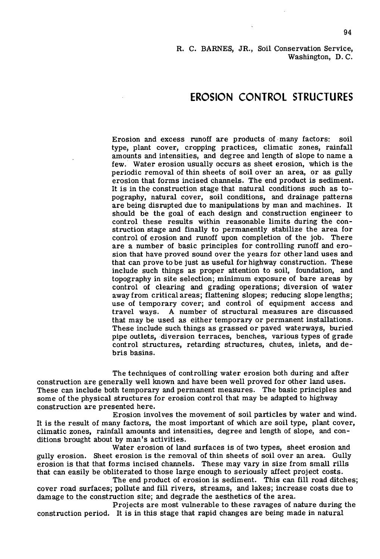### R. C. BARNES, JR., Soil Conservation Service, Washington, D. C.

# **EROSION CONTROL STRUCTURES**

Erosion and excess runoff are products of many factors: soil type, plant cover, cropping practices, climatic zones, rainfall amounts and intensities, and degree and length of slope to name a few. Water erosion usually occurs as sheet erosion, which is the periodic removal of thin sheets of soil over an area, or as gully erosion that forms incised channels. The end product is sediment. It is in the construction stage that natural conditions such as topography, natural cover, soil conditions, and drainage patterns are being disrupted due to manipulations by man and machines. It should be the goal of each design and construction engineer to control these results within reasonable limits during the construction stage and finally to permanently stabilize the area for control of erosion and runoff upon completion of the job. There are a number of basic principles for controlling runoff and erosion that have proved sound over the years for other land uses and that can prove to be just as useful for highway construction. These include such things as proper attention to soil, foundation, and topography in site selection; minimum exposure of bare areas by control of clearing and grading operations; diversion of water away from critical areas; flattening slopes; reducing slope lengths; use of temporary cover; and control of equipment access and travel ways. A number of structural measures are discussed that may be used as either temporary or permanent installations. These include such things as grassed or paved waterways, buried pipe outlets, diversion terraces, benches, various types of grade control structures, retarding structures, chutes, inlets, and debris basins.

The techniques of controlling water erosion both during and alter construction are generally well known and have been well proved for other land uses. These can include both temporary and permanent measures. The basic principles and some of the physical structures for erosion control that may be adapted to highway construction are presented here.

Erosion involves the movement of soil particles by water and wind. It is the result of many factors, the most important of which are soil type, plant cover, climatic zones, rainfall amounts and intensities, degree and length of slope, and conditions brought about by man's activities.

Water erosion of land surfaces is of two types, sheet erosion and gully erosion. Sheet erosion is the removal of thin sheets of soil over an area. Gully erosion is that that forms incised channels. These may vary in size from small rills that can easily be obliterated to those large enough to seriously affect project costs.

The end product of erosion is sediment. This can fill road ditches; cover road surfaces; pollute and fill rivers, streams, and lakes; increase costs due to damage to the construction site; and degrade the aesthetics of the area.

Projects are most vulnerable to these ravages of nature during the construction period. It is in this stage that rapid changes are being made in natural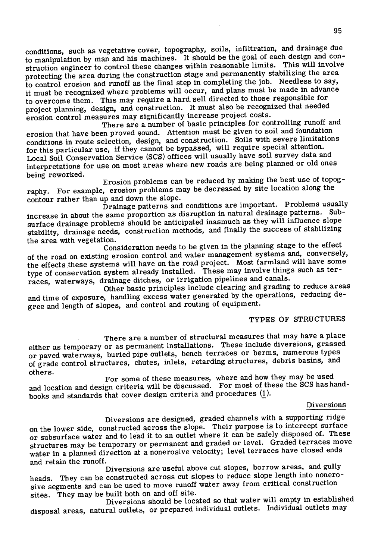conditions, such as vegetative cover, topography, soils, infiltration, and drainage due to manipulation by man and his machines. It should be the goal of each design and construction engineer to control these changes within reasonable limits. This will involve protecting the area during the construction stage and permanently stabilizing the area to control erosion and runoff as the final step in completing the job. Needless to say, it must be recognized where problems will occur, and plans must be made in advance to overcome them. This may require a hard, sell directed to those responsible for project planning, design, and construction. It must also be recognized that needed erosion control measures may significantly increase project costs.

There are a number of basic principles for controlling runoff and erosion that have been proved sound. Attention must be given to soil and foundation conditions in route selection, design, and construction. Soils with severe limitations for this particular use, if they cannot be bypassed, will require special attention. Local Soil Conservation Service (sCS) offices will usually have soil survey data and interpretations for use on most areas where new roads are being planned or old ones being reworked.

Erosion problems can be reduced by making the best use of topography. For example, erosion problems may be decreased by site location along the contour rather than up and down the slope.

Drainage patterns and conditions are important. Problems usually increase in about the same proportion as disruption in natural drainage patterns. Subsurface drainage problems should be anticipated inasmuch as they will influence slope stability, drainage needs, construction methods, and finally the success of stabilizing the area with vegetation.

Consideration needs to be given in the planning stage to the effect of the road on existing erosion control and water management systems and, conversely, the effects these systems will have on the road project. Most farmland will have some type of conservation system already installed. These may involve things such as terraces, waterways, drainage ditches, or irrigation pipelines and canals.

Other basic principles include clearing and grading to reduce areas and time of exposure, handling excess water generated by the operations, reducing degree and length of slopes, and control and routing of equipment.

# TYPES OF STRUCTURES

There are a number of structural measures that may have a place either as temporary or as permanent installations. These include diversions, grassed or paved waterways, buried pipe outlets, bench terraces or berms, numerous types of grade control structures, chutes, inlets, retarding structures, debris basins, and others.

For some of these measures, where and how they may be used and location and design criteria will be discussed. For most of these the SCS has handbooks and standards that cover design criteria and procedures (!).

#### Diversions

Diversions are designed, graded channels with a supporting ridge on the lower side, constructed across the slope. Their purpose is to intercept surface or subsurface water and to lead it to an outlet where it can be safely disposed of. These structures may be temporary or permanent and graded or level. Graded terraces move water in a planned direction at a nonerosive velocity; level terraces have closed ends and retain the runoff.

Diversions are useful above cut slopes, borrow areas, and gully heads. They can be constructed across cut slopes to reduce slope length into nonerosive segments and can be used to move runoff water away from critical construction sites. They may be built both on and off site.

Diversions should be located so that water will empty in established disposal areas, natural outlets, or prepared individual outlets. Individual outlets may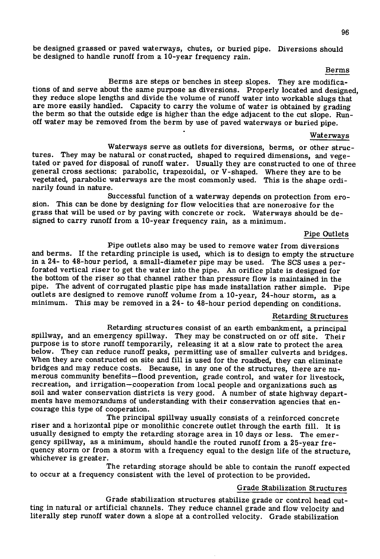be designed grassed or paved waterways, chutes, or buried pipe. Diversions should be designed to handle runoff from a 10-year frequency rain.

#### Berms

Berms are steps or benches in steep slopes. They are modifications of and serve about the same purpose as diversions. Properly located and designed, they reduce slope lengths and divide the volume of runoff water into workable slugs that are more easily handled. Capacity to carry the volume of water is obtained by grading the berm so that the outside edge is higher than the edge adjacent to the cut slope. Runoff water may be removed from the berm by use of paved waterways or buried pipe.

#### Waterways

Waterways serve as outlets for diversions, berms, or other structures. They may be natural or constructed, shaped to required dimensions, and vegetated or paved for disposal of runoff water. Usually they are constructed to one of three general cross sections: parabolic, trapezoidal, or V-shaped. Where they are to be vegetated, parabolic waterways are the most commonly used. This is the shape ordinarily found in nature.

Successful function of a waterway depends on protection from erosion. This can be done by designing for flow velocities that are nonerosive for the grass that will be used or by paving with concrete or rock. Waterways should be designed to carry runoff from a 10-year frequency rain, as a minimum.

#### Pipe Outlets

Pipe outlets also may be used to remove water from diversions and berms. If the retarding principle is used, which is to design to empty the structure in a 24- to 48-hour period, a small-diameter pipe may be used. The SCS uses a perforated vertical riser to get the water into the pipe. An orifice plate is designed for the bottom of the riser so that channel rather than pressure flow is maintained in the pipe. The advent of corrugated plastic pipe has made installation rather simple. Pipe outlets are designed to remove runoff volume from a 10-year, 24-hour storm, as a minimum. This may be removed in a 24- to 48-hour period depending on conditions.

## Retarding Structures

Retarding structures consist of an earth embankment, a principal spillway, and an emergency spillway. They may be constructed on or off site. Their purpose is to store runoff temporarily, releasing it at a slow rate to protect the area below. They can reduce runoff peaks, permitting use of smaller culverts and bridges. When they are constructed on site and fill is used for the roadbed, they can eliminate bridges and may reduce costs. Because, in any one of the structures, there are numerous community benefits—flood prevention, grade control, and water for livestock, recreation, and irrigation—cooperation from local people and organizations such as soil and water conservation districts is very good. A number of state highway departments have memorandums of understanding with their conservation agencies that encourage this type of cooperation.

The principal spillway usually consists of a reinforced concrete riser and a horizontal pipe or monolithic concrete outlet through the earth fill. It is usually designed to empty the retarding storage area in 10 days or less. The emergency spillway, as a minimum, should handle the routed runoff from a 25-year frequency storm or from a storm with a frequency equal to the design life of the structure, whichever is greater.

The retarding storage should be able to contain the runoff expected to occur at a frequency consistent with the level of protection to be provided.

#### Grade Stabilization Structures

Grade stabilization structures stabilize grade or control head cutting in natural or artificial channels. They reduce channel grade and flow velocity and literally step runoff water down a slope at a controlled velocity. Grade stabilization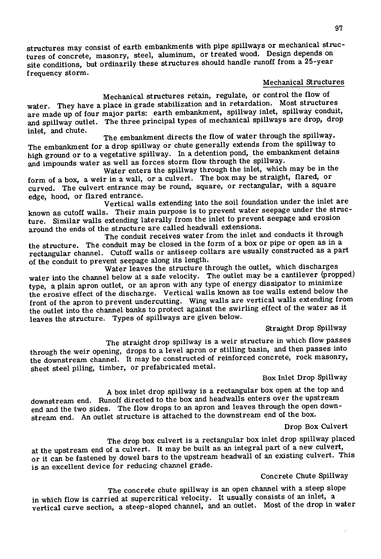structures may consist of earth embankments with pipe spiliways or mechanical structures of concrete, masonry, steel, aluminum, or treated wood. Design depends on site conditions, but ordinarily these structures should handle runoff from a 25-year frequency storm.

# Mechanical Structures

Mechanical structures retain, regulate, or control the flow of water. They have a place in grade stabilization and in retardation. Most structures are made up of four major parts: earth embankment, spillway inlet, spillway conduit, and spillway outlet. The three principal types of mechanical spiliways are drop, drop inlet, and chute.

The embankment directs the flow of water through the spillway. The embankment for a drop spillway or chute generally extends from the spillway to high ground or to a vegetative spillway. In a detention pond, the embankment detains and impounds water as well as forces storm flow through the spillway.

Water enters the spillway through the inlet, which may be in the form of a box, a weir in a wall, or a culvert. The box may be straight, flared, or curved. The culvert entrance may be round, square, or rectangular, with a square edge, hood, or flared entrance.

Vertical walls extending into the soil foundation under the inlet are known as cutoff walls. Their main purpose is to prevent water seepage under the structure. Similar walls extending laterally from the inlet to prevent seepage and erosion around the ends of the structure are called headwall extensions.

The conduit receives water from the inlet and conducts it through the structure. The conduit may be closed in the form of a box or pipe or open as in a rectangular channel. Cutoff walls or antiseep collars are usually constructed as a part of the conduit to prevent seepage along its length.

Water leaves the structure through the outlet, which discharges water into the channel below at a safe velocity. The outlet may be a cantilever (propped) type, a plain apron outlet, or an apron with any type of energy dissipator to minimize the erosive effect of the discharge. Vertical walls known as toe walls extend below the front of the apron to prevent undercutting. Wing walls are vertical walls extending from the outlet into the channel banks to protect against the swirling effect of the water as it leaves the structure. Types of spillways are given below.

Straight Drop Spillway

The straight drop spillway is a weir structure in which flow passes through the weir opening, drops to a level apron or stilling basin, and then passes into the downstream channel. It may be constructed of reinforced concrete, rock masonry, sheet steel piling, timber, or prefabricated metal.

# Box Inlet Drop Spillway

A box inlet drop spillway is a rectangular box open at the top and

downstream end. Runoff directed to the box and headwalls enters over the upstream end and the two sides. The flow drops to an apron and leaves through the open downstream end. An outlet structure is attached to the downstream end of the box.

# Drop Box Culvert

The drop box culvert is a rectangular box inlet drop spillway placed at the upstream end of a culvert. It may be built as an integral part of a new culvert,

or it can be fastened by dowel bars to the upstream headwall of an existing culvert. This is an excellent device for reducing channel grade.

## Concrete Chute Spillway

The concrete chute spillway is an open channel with a steep slope

in which flow is carried at supercritical velocity. It usually consists of an inlet, a vertical curve section, a steep-sloped channel, and an outlet. Most of the drop in water